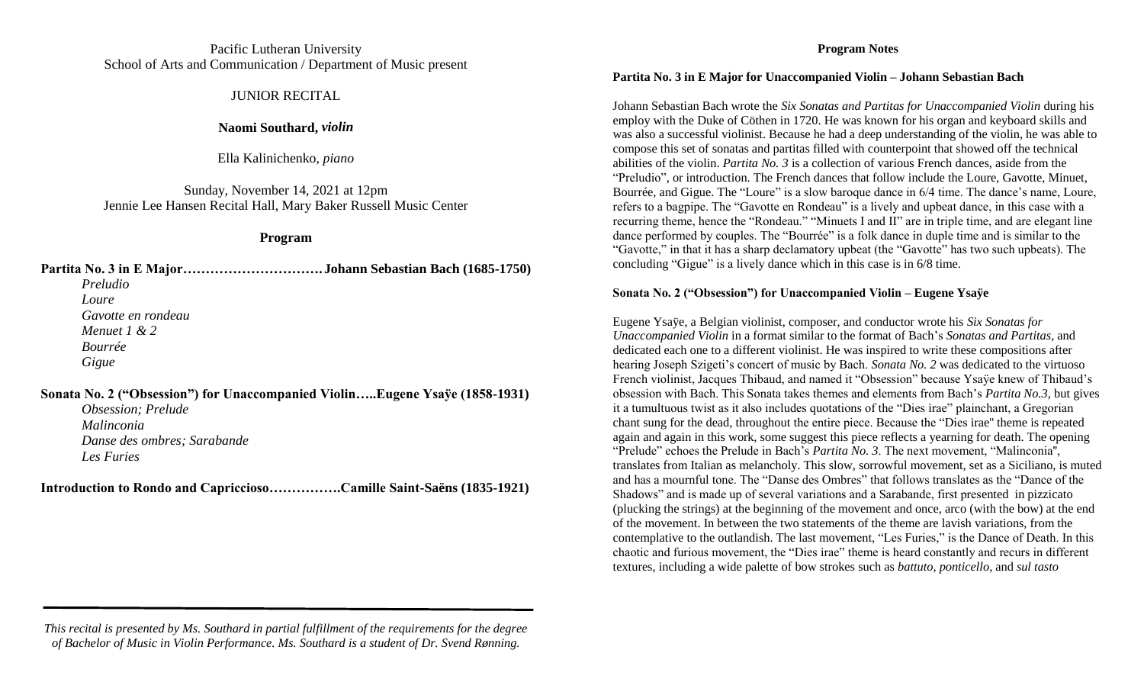## Pacific Lutheran University School of Arts and Communication / Department of Music present

## JUNIOR RECITAL

## **Naomi Southard,** *violin*

Ella Kalinichenko, *piano*

Sunday, November 14, 2021 at 12pm Jennie Lee Hansen Recital Hall, Mary Baker Russell Music Center

### **Program**

**Partita No. 3 in E Major…………………………. Johann Sebastian Bach (1685-1750)** *Preludio Loure Gavotte en rondeau Menuet 1 & 2 Bourrée Gigue*

**Sonata No. 2 ("Obsession") for Unaccompanied Violin…..Eugene Ysaÿe (1858-1931)** *Obsession; Prelude*

*Malinconia Danse des ombres; Sarabande Les Furies*

**Introduction to Rondo and Capriccioso…………….Camille Saint-Saëns (1835-1921)**

## **Program Notes**

#### **Partita No. 3 in E Major for Unaccompanied Violin – Johann Sebastian Bach**

Johann Sebastian Bach wrote the *Six Sonatas and Partitas for Unaccompanied Violin* during his employ with the Duke of Cöthen in 1720. He was known for his organ and keyboard skills and was also a successful violinist. Because he had a deep understanding of the violin, he was able to compose this set of sonatas and partitas filled with counterpoint that showed off the technical abilities of the violin. *Partita No. 3* is a collection of various French dances, aside from the "Preludio", or introduction. The French dances that follow include the Loure, Gavotte, Minuet, Bourrée, and Gigue. The "Loure" is a slow baroque dance in 6/4 time. The dance's name, Loure, refers to a bagpipe. The "Gavotte en Rondeau" is a lively and upbeat dance, in this case with a recurring theme, hence the "Rondeau." "Minuets I and II" are in triple time, and are elegant line dance performed by couples. The "Bourrée" is a folk dance in duple time and is similar to the "Gavotte," in that it has a sharp declamatory upbeat (the "Gavotte" has two such upbeats). The concluding "Gigue" is a lively dance which in this case is in 6/8 time.

### **Sonata No. 2 ("Obsession") for Unaccompanied Violin – Eugene Ysaÿe**

Eugene Ysaÿe, a Belgian violinist, composer, and conductor wrote his *Six Sonatas for Unaccompanied Violin* in a format similar to the format of Bach's *Sonatas and Partitas,* and dedicated each one to a different violinist. He was inspired to write these compositions after hearing Joseph Szigeti's concert of music by Bach. *Sonata No. 2* was dedicated to the virtuoso French violinist, Jacques Thibaud, and named it "Obsession" because Ysaÿe knew of Thibaud's obsession with Bach. This Sonata takes themes and elements from Bach's *Partita No.3*, but gives it a tumultuous twist as it also includes quotations of the "Dies irae" plainchant, a Gregorian chant sung for the dead, throughout the entire piece. Because the "Dies irae'' theme is repeated again and again in this work, some suggest this piece reflects a yearning for death. The opening "Prelude" echoes the Prelude in Bach's *Partita No. 3*. The next movement, "Malinconia'', translates from Italian as melancholy. This slow, sorrowful movement, set as a Siciliano, is muted and has a mournful tone. The "Danse des Ombres" that follows translates as the "Dance of the Shadows" and is made up of several variations and a Sarabande, first presented in pizzicato (plucking the strings) at the beginning of the movement and once, arco (with the bow) at the end of the movement. In between the two statements of the theme are lavish variations, from the contemplative to the outlandish. The last movement, "Les Furies," is the Dance of Death. In this chaotic and furious movement, the "Dies irae" theme is heard constantly and recurs in different textures, including a wide palette of bow strokes such as *battuto, ponticello,* and *sul tasto*

*This recital is presented by Ms. Southard in partial fulfillment of the requirements for the degree of Bachelor of Music in Violin Performance. Ms. Southard is a student of Dr. Svend Rønning.*